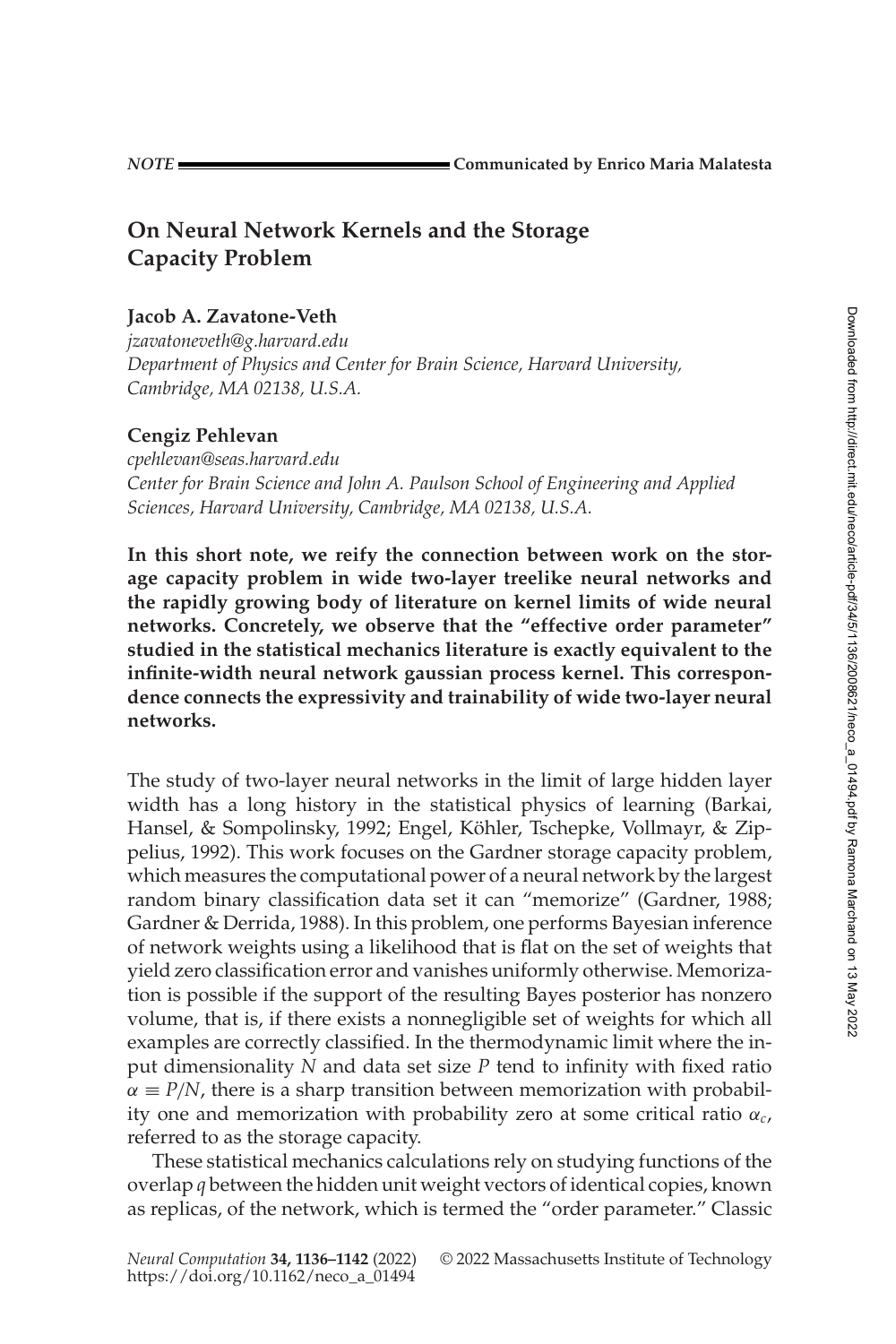# **On Neural Network Kernels and the Storage Capacity Problem**

### **Jacob A. Zavatone-Veth**

*[jzavatoneveth@g.harvard.edu](mailto:jzavatoneveth@g.harvard.edu) Department of Physics and Center for Brain Science, Harvard University, Cambridge, MA 02138, U.S.A.*

## **Cengiz Pehlevan**

*[cpehlevan@seas.harvard.edu](mailto:cpehlevan@seas.harvard.edu) Center for Brain Science and John A. Paulson School of Engineering and Applied Sciences, Harvard University, Cambridge, MA 02138, U.S.A.*

**In this short note, we reify the connection between work on the storage capacity problem in wide two-layer treelike neural networks and the rapidly growing body of literature on kernel limits of wide neural networks. Concretely, we observe that the "effective order parameter" studied in the statistical mechanics literature is exactly equivalent to the infinite-width neural network gaussian process kernel. This correspondence connects the expressivity and trainability of wide two-layer neural networks.**

The study of two-layer neural networks in the limit of large hidden layer width has a long history in the statistical physics of learning (Barkai, Hansel, & Sompolinsky, [1992;](#page-5-0) Engel, Köhler, Tschepke, Vollmayr, & Zippelius, [1992\)](#page-5-1). This work focuses on the Gardner storage capacity problem, which measures the computational power of a neural network by the largest random binary classification data set it can "memorize" (Gardner, [1988;](#page-5-2) Gardner & Derrida, [1988\)](#page-5-3). In this problem, one performs Bayesian inference of network weights using a likelihood that is flat on the set of weights that yield zero classification error and vanishes uniformly otherwise. Memorization is possible if the support of the resulting Bayes posterior has nonzero volume, that is, if there exists a nonnegligible set of weights for which all examples are correctly classified. In the thermodynamic limit where the input dimensionality *N* and data set size *P* tend to infinity with fixed ratio  $\alpha \equiv P/N$ , there is a sharp transition between memorization with probability one and memorization with probability zero at some critical ratio α*c*, referred to as the storage capacity.

These statistical mechanics calculations rely on studying functions of the overlap *q* between the hidden unit weight vectors of identical copies, known as replicas, of the network, which is termed the "order parameter." Classic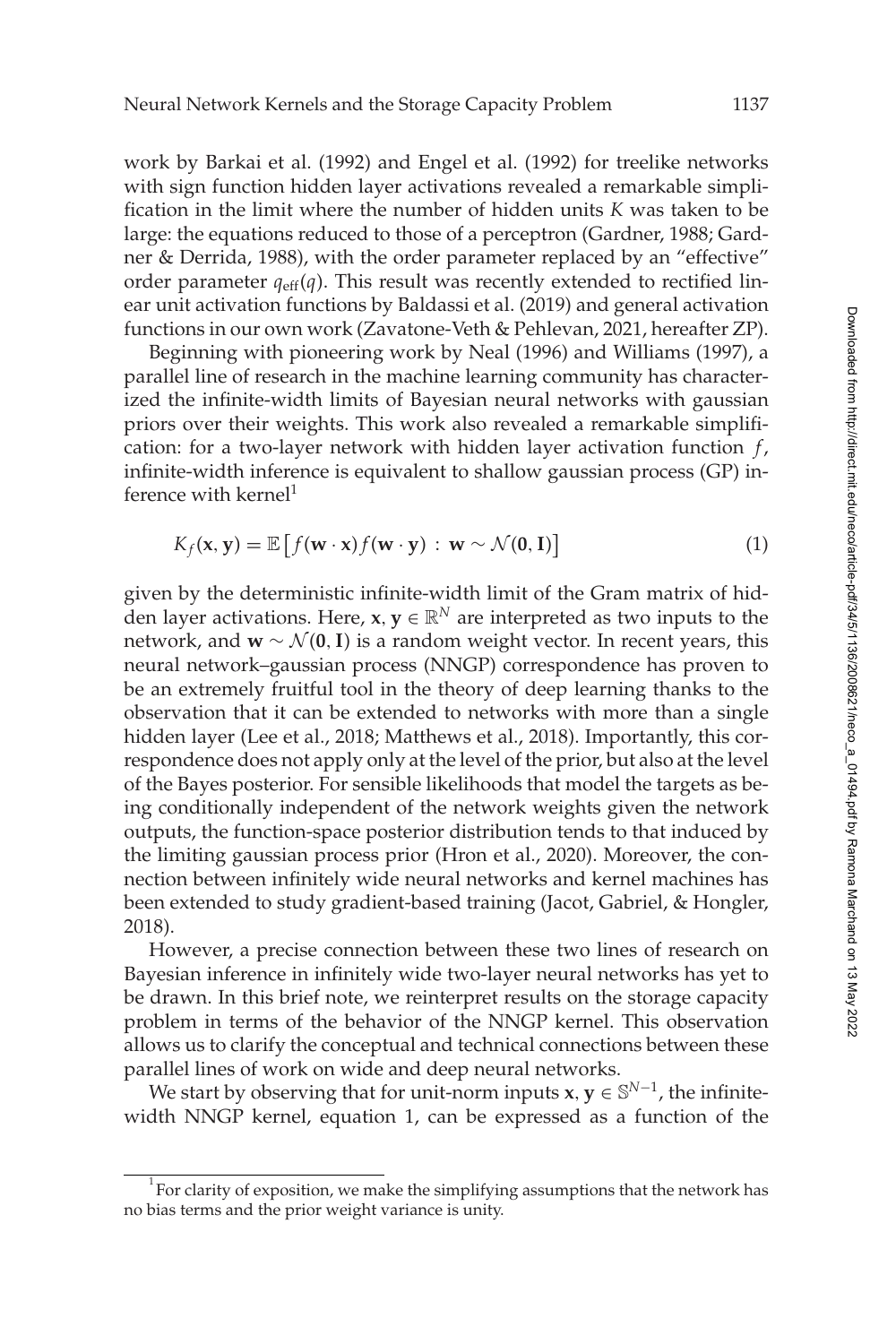work by Barkai et al. [\(1992\)](#page-5-0) and Engel et al. [\(1992\)](#page-5-1) for treelike networks with sign function hidden layer activations revealed a remarkable simplification in the limit where the number of hidden units *K* was taken to be large: the equations reduced to those of a perceptron (Gardner, [1988;](#page-5-2) Gardner & Derrida, [1988\)](#page-5-3), with the order parameter replaced by an "effective" order parameter  $q_{\text{eff}}(q)$ . This result was recently extended to rectified linear unit activation functions by Baldassi et al. [\(2019\)](#page-4-0) and general activation functions in our own work (Zavatone-Veth & Pehlevan, [2021,](#page-6-0) hereafter [ZP\)](#page-6-0).

Beginning with pioneering work by Neal [\(1996\)](#page-5-4) and Williams [\(1997\)](#page-5-5), a parallel line of research in the machine learning community has characterized the infinite-width limits of Bayesian neural networks with gaussian priors over their weights. This work also revealed a remarkable simplification: for a two-layer network with hidden layer activation function *f*, infinite-width inference is equivalent to shallow gaussian process (GP) inference with kernel $1$ 

<span id="page-1-1"></span>
$$
K_f(\mathbf{x}, \mathbf{y}) = \mathbb{E}\left[f(\mathbf{w} \cdot \mathbf{x})f(\mathbf{w} \cdot \mathbf{y}) : \mathbf{w} \sim \mathcal{N}(\mathbf{0}, \mathbf{I})\right]
$$
(1)

given by the deterministic infinite-width limit of the Gram matrix of hidden layer activations. Here,  $x, y \in \mathbb{R}^N$  are interpreted as two inputs to the network, and **w** ∼  $\mathcal{N}$ (0, I) is a random weight vector. In recent years, this neural network–gaussian process (NNGP) correspondence has proven to be an extremely fruitful tool in the theory of deep learning thanks to the observation that it can be extended to networks with more than a single hidden layer (Lee et al., [2018;](#page-5-6) Matthews et al., [2018\)](#page-5-7). Importantly, this correspondence does not apply only at the level of the prior, but also at the level of the Bayes posterior. For sensible likelihoods that model the targets as being conditionally independent of the network weights given the network outputs, the function-space posterior distribution tends to that induced by the limiting gaussian process prior (Hron et al., [2020\)](#page-5-8). Moreover, the connection between infinitely wide neural networks and kernel machines has been extended to study gradient-based training (Jacot, Gabriel, & Hongler, [2018\)](#page-5-9).

However, a precise connection between these two lines of research on Bayesian inference in infinitely wide two-layer neural networks has yet to be drawn. In this brief note, we reinterpret results on the storage capacity problem in terms of the behavior of the NNGP kernel. This observation allows us to clarify the conceptual and technical connections between these parallel lines of work on wide and deep neural networks.

We start by observing that for unit-norm inputs **x**,  $y \in \mathbb{S}^{N-1}$ , the infinitewidth NNGP kernel, equation [1,](#page-1-1) can be expressed as a function of the

<span id="page-1-0"></span><sup>1</sup> For clarity of exposition, we make the simplifying assumptions that the network has no bias terms and the prior weight variance is unity.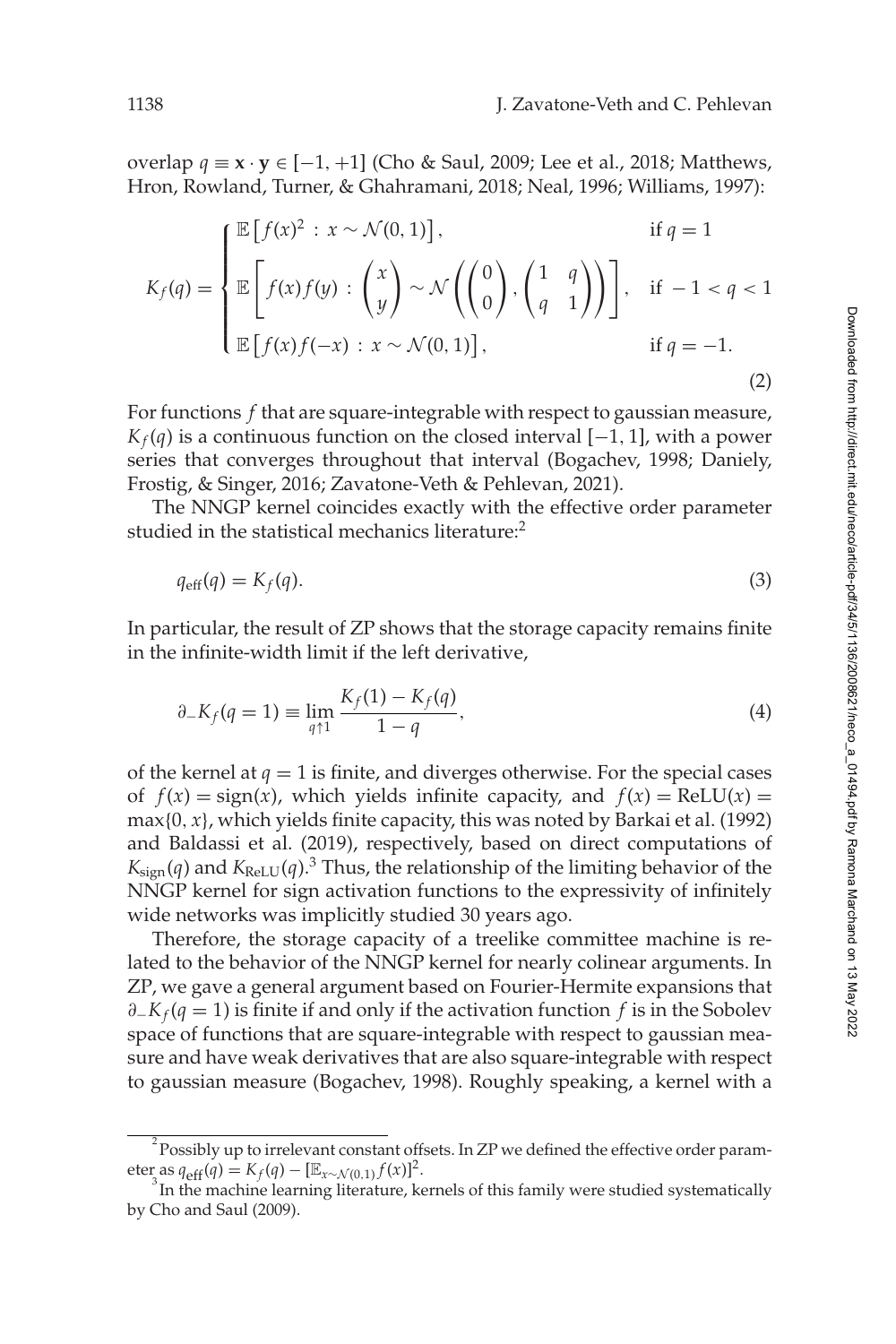overlap *q* ≡ **x** · **y** ∈ [−1, +1] (Cho & Saul, [2009;](#page-5-10) Lee et al., [2018;](#page-5-6) Matthews, Hron, Rowland, Turner, & Ghahramani, [2018;](#page-5-7) Neal, [1996;](#page-5-4) Williams, [1997\)](#page-5-5):

$$
K_f(q) = \begin{cases} \mathbb{E}\left[f(x)^2 : x \sim \mathcal{N}(0, 1)\right], & \text{if } q = 1\\ \mathbb{E}\left[f(x)f(y) : \binom{x}{y} \sim \mathcal{N}\left(\binom{0}{0}, \binom{1}{q-1}\right)\right], & \text{if } -1 < q < 1\\ \mathbb{E}\left[f(x)f(-x) : x \sim \mathcal{N}(0, 1)\right], & \text{if } q = -1. \end{cases}
$$
\n(2)

For functions *f* that are square-integrable with respect to gaussian measure,  $K_f(q)$  is a continuous function on the closed interval  $[-1, 1]$ , with a power series that converges throughout that interval (Bogachev, [1998;](#page-5-11) Daniely, Frostig, & Singer, [2016;](#page-5-12) Zavatone-Veth & Pehlevan, [2021\)](#page-6-0).

The NNGP kernel coincides exactly with the effective order parameter studied in the statistical mechanics literature:<sup>2</sup>

$$
q_{\text{eff}}(q) = K_f(q). \tag{3}
$$

In particular, the result of [ZP](#page-6-0) shows that the storage capacity remains finite in the infinite-width limit if the left derivative,

$$
\partial_{-}K_{f}(q=1) \equiv \lim_{q \uparrow 1} \frac{K_{f}(1) - K_{f}(q)}{1 - q}, \tag{4}
$$

of the kernel at  $q = 1$  is finite, and diverges otherwise. For the special cases of  $f(x) = sign(x)$ , which yields infinite capacity, and  $f(x) = ReLU(x) =$  $max{0, x}$ , which yields finite capacity, this was noted by Barkai et al. [\(1992\)](#page-5-0) and Baldassi et al. [\(2019\)](#page-4-0), respectively, based on direct computations of  $K_{\text{sign}}(q)$  and  $K_{\text{ReLU}}(q)$ .<sup>[3](#page-2-1)</sup> Thus, the relationship of the limiting behavior of the NNGP kernel for sign activation functions to the expressivity of infinitely wide networks was implicitly studied 30 years ago.

Therefore, the storage capacity of a treelike committee machine is related to the behavior of the NNGP kernel for nearly colinear arguments. In [ZP,](#page-6-0) we gave a general argument based on Fourier-Hermite expansions that ∂−*Kf* (*q* = 1) is finite if and only if the activation function *f* is in the Sobolev space of functions that are square-integrable with respect to gaussian measure and have weak derivatives that are also square-integrable with respect to gaussian measure (Bogachev, [1998\)](#page-5-11). Roughly speaking, a kernel with a

<span id="page-2-0"></span> $^{2}$ Possibly up to irrelevant constant offsets. In [ZP](#page-6-0) we defined the effective order parameter as  $q_{eff}(q) = K_f(q) - [\mathbb{E}_{x \sim \mathcal{N}(0,1)} f(x)]^2$ .

<span id="page-2-1"></span> $\sigma$ <sup>3</sup> In the machine learning literature, kernels of this family were studied systematically by Cho and Saul [\(2009\)](#page-5-10).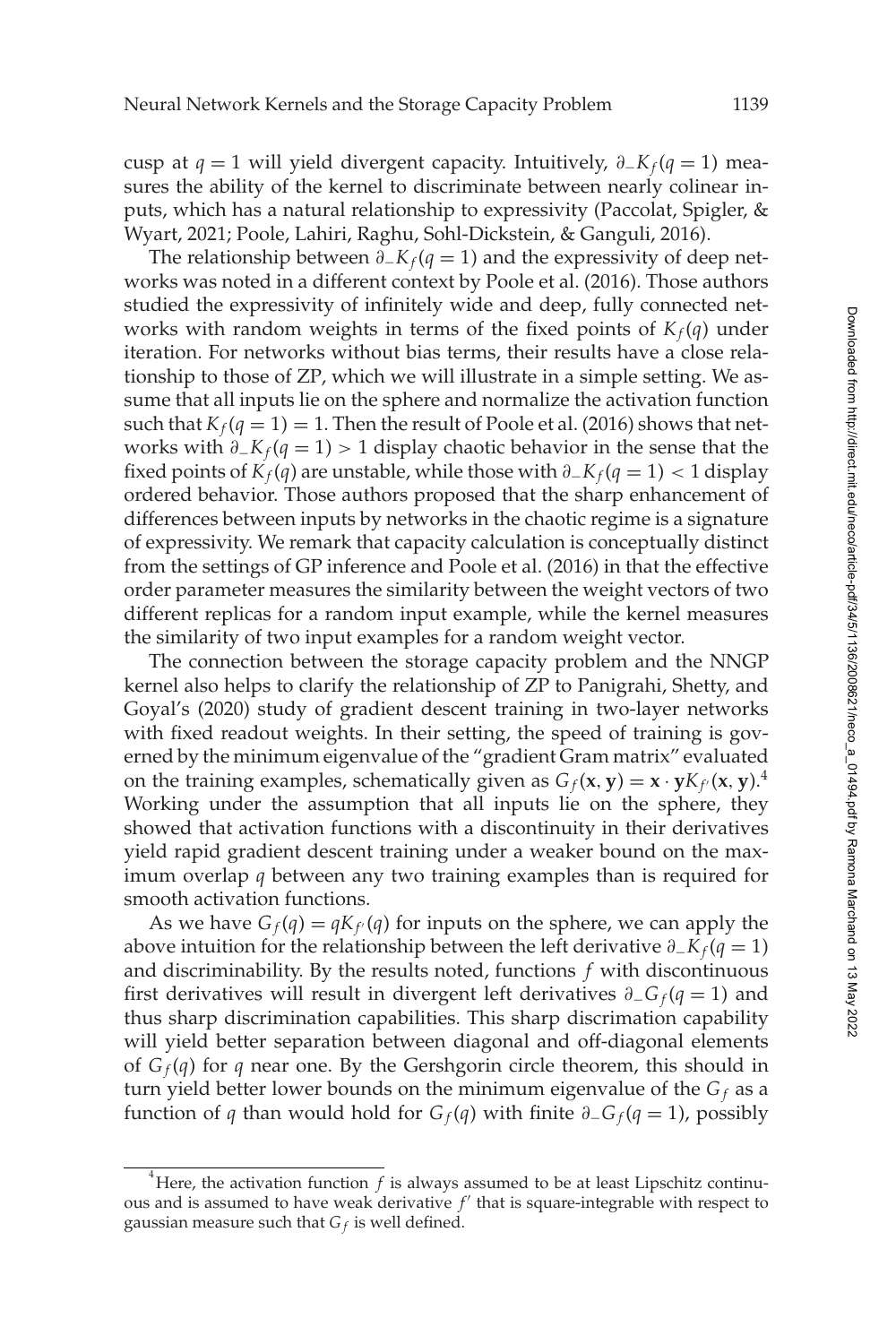cusp at *q* = 1 will yield divergent capacity. Intuitively, ∂−*Kf* (*q* = 1) measures the ability of the kernel to discriminate between nearly colinear inputs, which has a natural relationship to expressivity (Paccolat, Spigler, & Wyart, [2021;](#page-5-13) Poole, Lahiri, Raghu, Sohl-Dickstein, & Ganguli, [2016\)](#page-5-14).

The relationship between  $\partial$ <sub>−</sub> $K_f$ ( $q$  = 1) and the expressivity of deep networks was noted in a different context by Poole et al. [\(2016\)](#page-5-14). Those authors studied the expressivity of infinitely wide and deep, fully connected networks with random weights in terms of the fixed points of  $K_f(q)$  under iteration. For networks without bias terms, their results have a close relationship to those of [ZP,](#page-6-0) which we will illustrate in a simple setting. We assume that all inputs lie on the sphere and normalize the activation function such that  $K_f(q = 1) = 1$ . Then the result of Poole et al. [\(2016\)](#page-5-14) shows that networks with ∂−*Kf* (*q* = 1) > 1 display chaotic behavior in the sense that the fixed points of  $K_f(q)$  are unstable, while those with  $\partial$ <sub>−</sub> $K_f(q = 1)$  < 1 display ordered behavior. Those authors proposed that the sharp enhancement of differences between inputs by networks in the chaotic regime is a signature of expressivity. We remark that capacity calculation is conceptually distinct from the settings of GP inference and Poole et al. [\(2016\)](#page-5-14) in that the effective order parameter measures the similarity between the weight vectors of two different replicas for a random input example, while the kernel measures the similarity of two input examples for a random weight vector.

The connection between the storage capacity problem and the NNGP kernel also helps to clarify the relationship of [ZP](#page-6-0) to Panigrahi, Shetty, and Goyal's [\(2020\)](#page-5-15) study of gradient descent training in two-layer networks with fixed readout weights. In their setting, the speed of training is governed by the minimum eigenvalue of the "gradient Gram matrix" evaluated on the training examples, schematically given as  $G_f(\mathbf{x}, \mathbf{y}) = \mathbf{x} \cdot \mathbf{y} K_f(\mathbf{x}, \mathbf{y})$ .<sup>[4](#page-3-0)</sup> Working under the assumption that all inputs lie on the sphere, they showed that activation functions with a discontinuity in their derivatives yield rapid gradient descent training under a weaker bound on the maximum overlap *q* between any two training examples than is required for smooth activation functions.

As we have  $G_f(q) = qK_f(q)$  for inputs on the sphere, we can apply the above intuition for the relationship between the left derivative ∂−*Kf* (*q* = 1) and discriminability. By the results noted, functions *f* with discontinuous first derivatives will result in divergent left derivatives ∂−*G <sup>f</sup>* (*q* = 1) and thus sharp discrimination capabilities. This sharp discrimation capability will yield better separation between diagonal and off-diagonal elements of  $G_f(q)$  for *q* near one. By the Gershgorin circle theorem, this should in turn yield better lower bounds on the minimum eigenvalue of the  $G_f$  as a function of *q* than would hold for *G<sub>f</sub>*(*q*) with finite  $\partial_{-}G_f(q=1)$ , possibly

<span id="page-3-0"></span><sup>&</sup>lt;sup>4</sup>Here, the activation function *f* is always assumed to be at least Lipschitz continuous and is assumed to have weak derivative  $f'$  that is square-integrable with respect to gaussian measure such that  $G_f$  is well defined.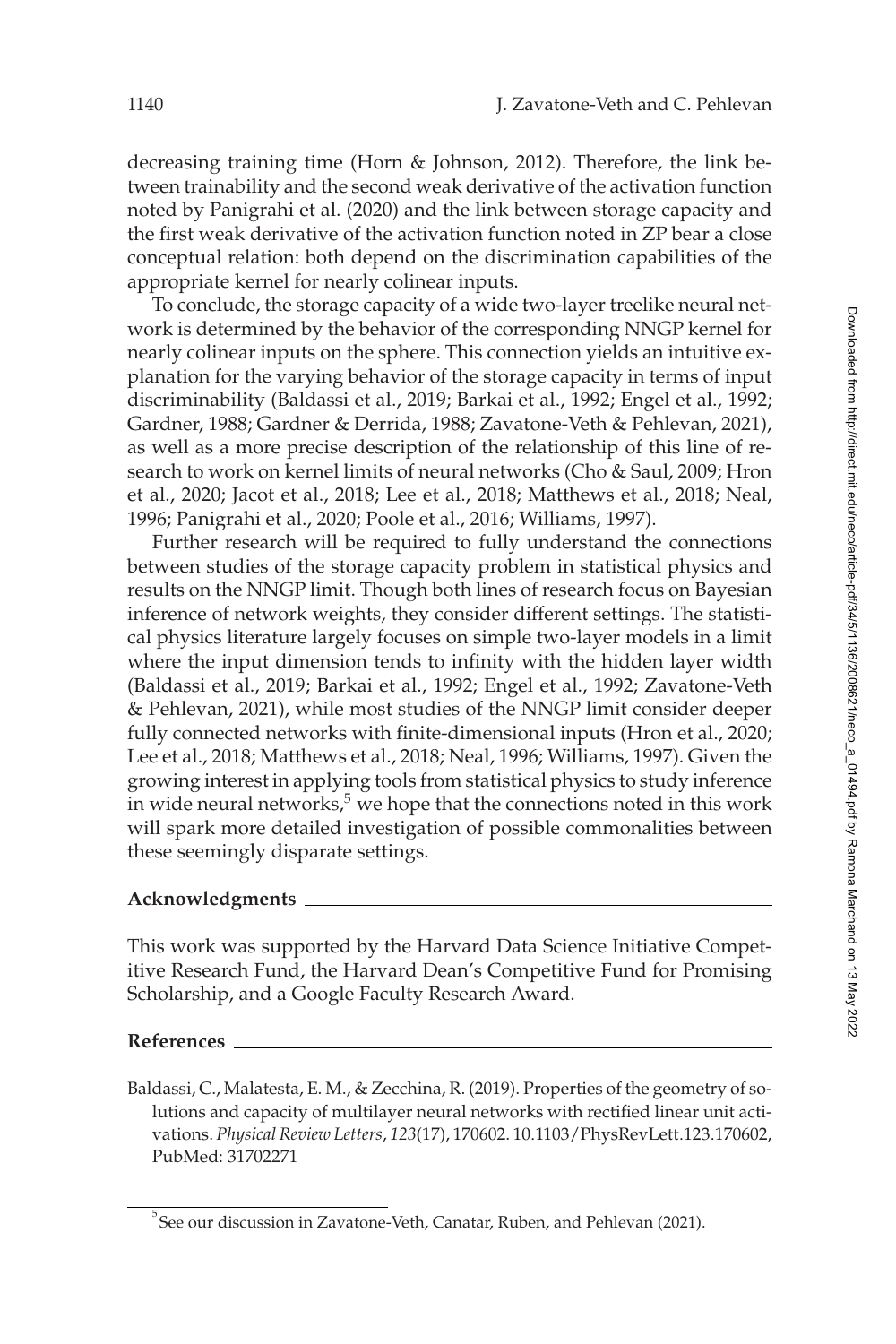decreasing training time (Horn & Johnson, [2012\)](#page-5-16). Therefore, the link between trainability and the second weak derivative of the activation function noted by Panigrahi et al. [\(2020\)](#page-5-15) and the link between storage capacity and the first weak derivative of the activation function noted in [ZP](#page-6-0) bear a close conceptual relation: both depend on the discrimination capabilities of the appropriate kernel for nearly colinear inputs.

To conclude, the storage capacity of a wide two-layer treelike neural network is determined by the behavior of the corresponding NNGP kernel for nearly colinear inputs on the sphere. This connection yields an intuitive explanation for the varying behavior of the storage capacity in terms of input discriminability (Baldassi et al., [2019;](#page-4-0) Barkai et al., [1992;](#page-5-0) Engel et al., [1992;](#page-5-1) Gardner, [1988;](#page-5-2) Gardner & Derrida, [1988;](#page-5-3) Zavatone-Veth & Pehlevan, [2021\)](#page-6-0), as well as a more precise description of the relationship of this line of research to work on kernel limits of neural networks (Cho & Saul, [2009;](#page-5-10) Hron et al., [2020;](#page-5-8) Jacot et al., [2018;](#page-5-9) Lee et al., [2018;](#page-5-6) Matthews et al., [2018;](#page-5-7) Neal, [1996;](#page-5-4) Panigrahi et al., [2020;](#page-5-15) Poole et al., [2016;](#page-5-14) Williams, [1997\)](#page-5-5).

Further research will be required to fully understand the connections between studies of the storage capacity problem in statistical physics and results on the NNGP limit. Though both lines of research focus on Bayesian inference of network weights, they consider different settings. The statistical physics literature largely focuses on simple two-layer models in a limit where the input dimension tends to infinity with the hidden layer width (Baldassi et al., [2019;](#page-4-0) Barkai et al., [1992;](#page-5-0) Engel et al., [1992;](#page-5-1) Zavatone-Veth & Pehlevan, [2021\)](#page-6-0), while most studies of the NNGP limit consider deeper fully connected networks with finite-dimensional inputs (Hron et al., [2020;](#page-5-8) Lee et al., [2018;](#page-5-6) Matthews et al., [2018;](#page-5-7) Neal, [1996;](#page-5-4) Williams, [1997\)](#page-5-5). Given the growing interest in applying tools from statistical physics to study inference in wide neural networks, $5$  we hope that the connections noted in this work will spark more detailed investigation of possible commonalities between these seemingly disparate settings.

#### **Acknowledgments**

This work was supported by the Harvard Data Science Initiative Competitive Research Fund, the Harvard Dean's Competitive Fund for Promising Scholarship, and a Google Faculty Research Award.

#### **References**

<span id="page-4-0"></span>Baldassi, C., Malatesta, E. M., & Zecchina, R. (2019). Properties of the geometry of solutions and capacity of multilayer neural networks with rectified linear unit activations. *Physical Review Letters*, *123*(17), 170602. 10.[1103/PhysRevLett](https://doi.org/10.1103/PhysRevLett.123.170602).123.170602, PubMed: [31702271](https://www.ncbi.nlm.nih.gov/pubmed/31702271)

<span id="page-4-1"></span> $^5$ See our discussion in Zavatone-Veth, Canatar, Ruben, and Pehlevan [\(2021\)](#page-6-1).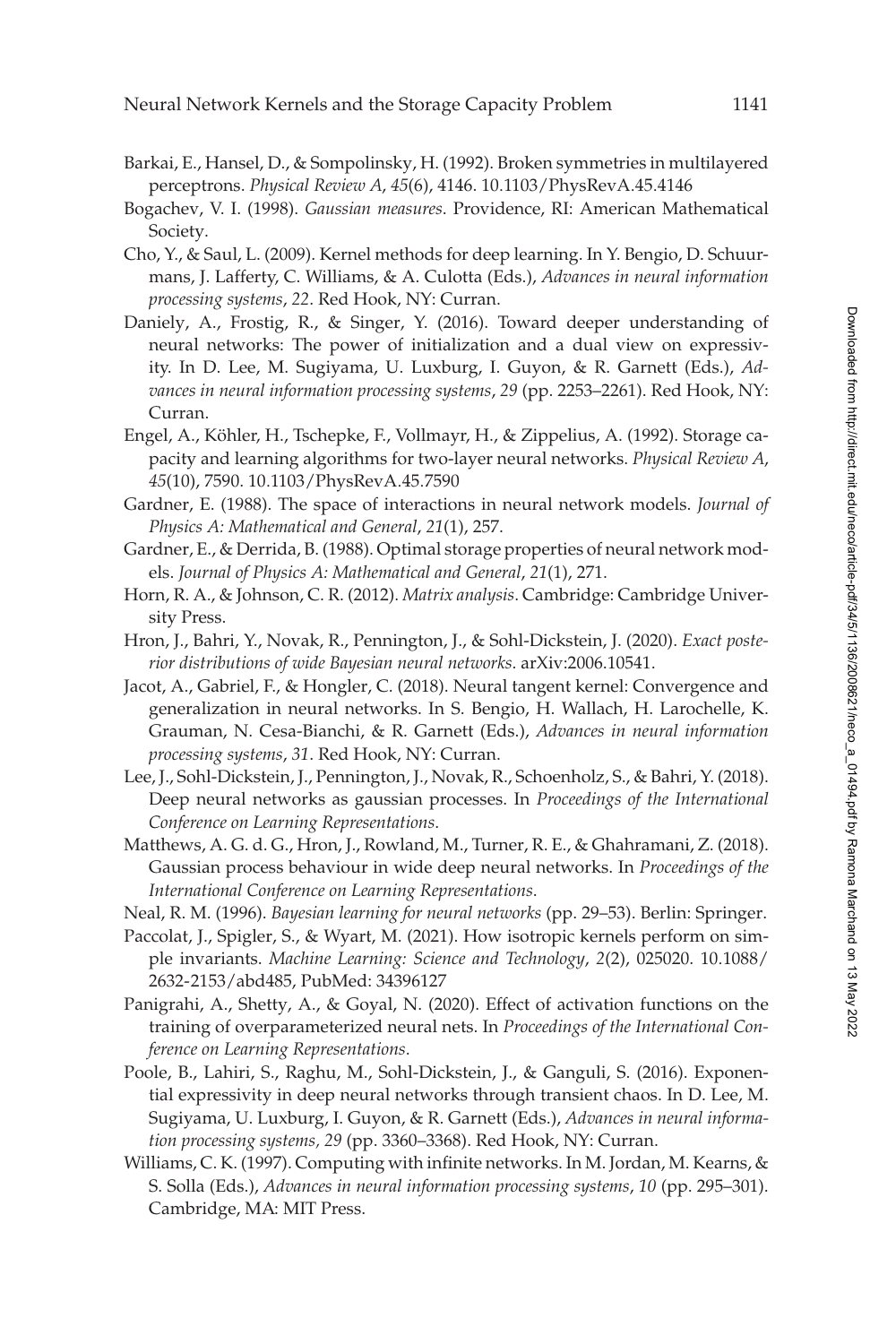- <span id="page-5-0"></span>Barkai, E., Hansel, D., & Sompolinsky, H. (1992). Broken symmetries in multilayered perceptrons. *Physical Review A*, *45*(6), 4146. 10.[1103/PhysRevA](https://doi.org/10.1103/PhysRevA.45.4146).45.4146
- <span id="page-5-11"></span>Bogachev, V. I. (1998). *Gaussian measures*. Providence, RI: American Mathematical Society.
- <span id="page-5-10"></span>Cho, Y., & Saul, L. (2009). Kernel methods for deep learning. In Y. Bengio, D. Schuurmans, J. Lafferty, C. Williams, & A. Culotta (Eds.), *Advances in neural information processing systems*, *22*. Red Hook, NY: Curran.
- <span id="page-5-12"></span>Daniely, A., Frostig, R., & Singer, Y. (2016). Toward deeper understanding of neural networks: The power of initialization and a dual view on expressivity. In D. Lee, M. Sugiyama, U. Luxburg, I. Guyon, & R. Garnett (Eds.), *Advances in neural information processing systems*, *29* (pp. 2253–2261). Red Hook, NY: Curran.
- <span id="page-5-1"></span>Engel, A., Köhler, H., Tschepke, F., Vollmayr, H., & Zippelius, A. (1992). Storage capacity and learning algorithms for two-layer neural networks. *Physical Review A*, *45*(10), 7590. 10.[1103/PhysRevA](https://doi.org/10.1103/PhysRevA.45.7590).45.7590
- <span id="page-5-2"></span>Gardner, E. (1988). The space of interactions in neural network models. *Journal of Physics A: Mathematical and General*, *21*(1), 257.
- <span id="page-5-3"></span>Gardner, E., & Derrida, B. (1988). Optimal storage properties of neural network models. *Journal of Physics A: Mathematical and General*, *21*(1), 271.
- <span id="page-5-16"></span>Horn, R. A., & Johnson, C. R. (2012). *Matrix analysis*. Cambridge: Cambridge University Press.
- <span id="page-5-8"></span>Hron, J., Bahri, Y., Novak, R., Pennington, J., & Sohl-Dickstein, J. (2020). *Exact posterior distributions of wide Bayesian neural networks*. arXiv:2006.10541.
- <span id="page-5-9"></span>Jacot, A., Gabriel, F., & Hongler, C. (2018). Neural tangent kernel: Convergence and generalization in neural networks. In S. Bengio, H. Wallach, H. Larochelle, K. Grauman, N. Cesa-Bianchi, & R. Garnett (Eds.), *Advances in neural information processing systems*, *31*. Red Hook, NY: Curran.
- <span id="page-5-6"></span>Lee, J., Sohl-Dickstein, J., Pennington, J., Novak, R., Schoenholz, S., & Bahri, Y. (2018). Deep neural networks as gaussian processes. In *Proceedings of the International Conference on Learning Representations*.
- <span id="page-5-7"></span>Matthews, A. G. d. G., Hron, J., Rowland, M., Turner, R. E., & Ghahramani, Z. (2018). Gaussian process behaviour in wide deep neural networks. In *Proceedings of the International Conference on Learning Representations*.
- <span id="page-5-4"></span>Neal, R. M. (1996). *Bayesian learning for neural networks* (pp. 29–53). Berlin: Springer.
- <span id="page-5-13"></span>Paccolat, J., Spigler, S., & Wyart, M. (2021). How isotropic kernels perform on simple invariants. *[Machine Learning: Science and Technology](https://doi.org/10.1088/2632-2153/abd485)*, *2*(2), 025020. 10.1088/ 2632-2153/abd485, PubMed: [34396127](https://www.ncbi.nlm.nih.gov/pubmed/34396127)
- <span id="page-5-15"></span>Panigrahi, A., Shetty, A., & Goyal, N. (2020). Effect of activation functions on the training of overparameterized neural nets. In *Proceedings of the International Conference on Learning Representations*.
- <span id="page-5-14"></span>Poole, B., Lahiri, S., Raghu, M., Sohl-Dickstein, J., & Ganguli, S. (2016). Exponential expressivity in deep neural networks through transient chaos. In D. Lee, M. Sugiyama, U. Luxburg, I. Guyon, & R. Garnett (Eds.), *Advances in neural information processing systems, 29* (pp. 3360–3368). Red Hook, NY: Curran.
- <span id="page-5-5"></span>Williams, C. K. (1997). Computing with infinite networks. In M. Jordan, M. Kearns, & S. Solla (Eds.), *Advances in neural information processing systems*, *10* (pp. 295–301). Cambridge, MA: MIT Press.